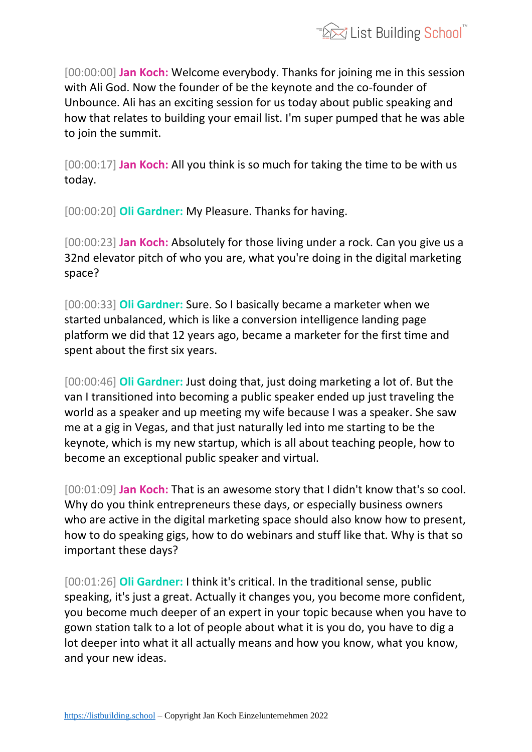

[00:00:00] **Jan Koch:** Welcome everybody. Thanks for joining me in this session with Ali God. Now the founder of be the keynote and the co-founder of Unbounce. Ali has an exciting session for us today about public speaking and how that relates to building your email list. I'm super pumped that he was able to join the summit.

[00:00:17] **Jan Koch:** All you think is so much for taking the time to be with us today.

[00:00:20] **Oli Gardner:** My Pleasure. Thanks for having.

[00:00:23] **Jan Koch:** Absolutely for those living under a rock. Can you give us a 32nd elevator pitch of who you are, what you're doing in the digital marketing space?

[00:00:33] **Oli Gardner:** Sure. So I basically became a marketer when we started unbalanced, which is like a conversion intelligence landing page platform we did that 12 years ago, became a marketer for the first time and spent about the first six years.

[00:00:46] **Oli Gardner:** Just doing that, just doing marketing a lot of. But the van I transitioned into becoming a public speaker ended up just traveling the world as a speaker and up meeting my wife because I was a speaker. She saw me at a gig in Vegas, and that just naturally led into me starting to be the keynote, which is my new startup, which is all about teaching people, how to become an exceptional public speaker and virtual.

[00:01:09] **Jan Koch:** That is an awesome story that I didn't know that's so cool. Why do you think entrepreneurs these days, or especially business owners who are active in the digital marketing space should also know how to present, how to do speaking gigs, how to do webinars and stuff like that. Why is that so important these days?

[00:01:26] **Oli Gardner:** I think it's critical. In the traditional sense, public speaking, it's just a great. Actually it changes you, you become more confident, you become much deeper of an expert in your topic because when you have to gown station talk to a lot of people about what it is you do, you have to dig a lot deeper into what it all actually means and how you know, what you know, and your new ideas.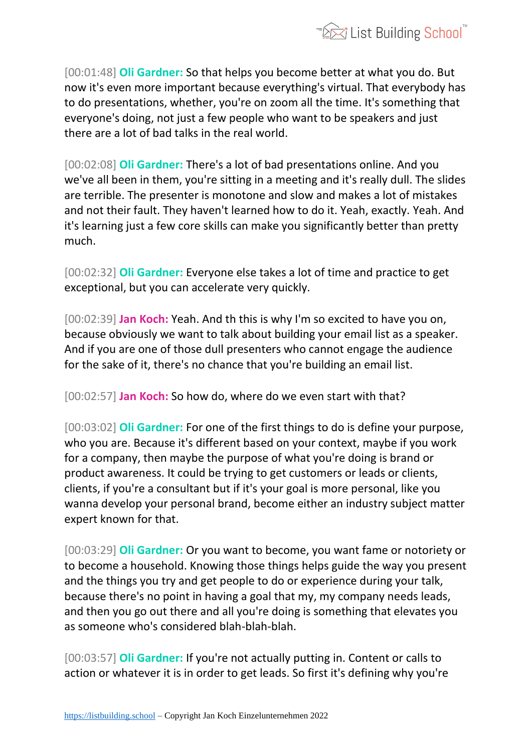

[00:01:48] **Oli Gardner:** So that helps you become better at what you do. But now it's even more important because everything's virtual. That everybody has to do presentations, whether, you're on zoom all the time. It's something that everyone's doing, not just a few people who want to be speakers and just there are a lot of bad talks in the real world.

[00:02:08] **Oli Gardner:** There's a lot of bad presentations online. And you we've all been in them, you're sitting in a meeting and it's really dull. The slides are terrible. The presenter is monotone and slow and makes a lot of mistakes and not their fault. They haven't learned how to do it. Yeah, exactly. Yeah. And it's learning just a few core skills can make you significantly better than pretty much.

[00:02:32] **Oli Gardner:** Everyone else takes a lot of time and practice to get exceptional, but you can accelerate very quickly.

[00:02:39] **Jan Koch:** Yeah. And th this is why I'm so excited to have you on, because obviously we want to talk about building your email list as a speaker. And if you are one of those dull presenters who cannot engage the audience for the sake of it, there's no chance that you're building an email list.

[00:02:57] **Jan Koch:** So how do, where do we even start with that?

[00:03:02] **Oli Gardner:** For one of the first things to do is define your purpose, who you are. Because it's different based on your context, maybe if you work for a company, then maybe the purpose of what you're doing is brand or product awareness. It could be trying to get customers or leads or clients, clients, if you're a consultant but if it's your goal is more personal, like you wanna develop your personal brand, become either an industry subject matter expert known for that.

[00:03:29] **Oli Gardner:** Or you want to become, you want fame or notoriety or to become a household. Knowing those things helps guide the way you present and the things you try and get people to do or experience during your talk, because there's no point in having a goal that my, my company needs leads, and then you go out there and all you're doing is something that elevates you as someone who's considered blah-blah-blah.

[00:03:57] **Oli Gardner:** If you're not actually putting in. Content or calls to action or whatever it is in order to get leads. So first it's defining why you're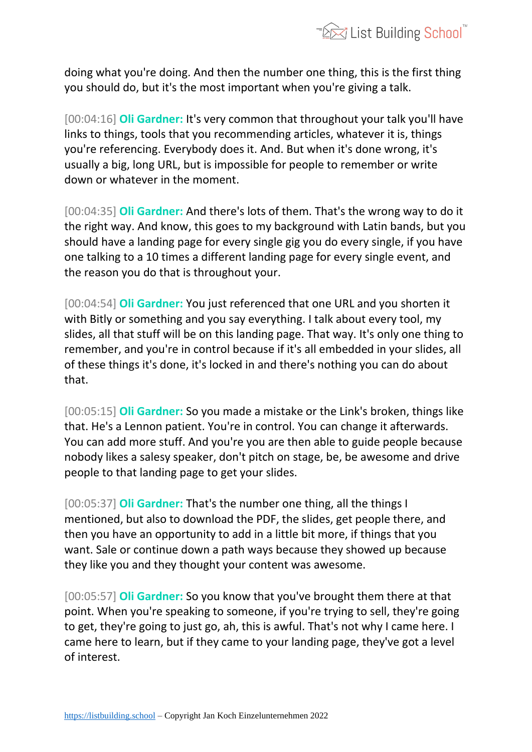

doing what you're doing. And then the number one thing, this is the first thing you should do, but it's the most important when you're giving a talk.

[00:04:16] **Oli Gardner:** It's very common that throughout your talk you'll have links to things, tools that you recommending articles, whatever it is, things you're referencing. Everybody does it. And. But when it's done wrong, it's usually a big, long URL, but is impossible for people to remember or write down or whatever in the moment.

[00:04:35] **Oli Gardner:** And there's lots of them. That's the wrong way to do it the right way. And know, this goes to my background with Latin bands, but you should have a landing page for every single gig you do every single, if you have one talking to a 10 times a different landing page for every single event, and the reason you do that is throughout your.

[00:04:54] **Oli Gardner:** You just referenced that one URL and you shorten it with Bitly or something and you say everything. I talk about every tool, my slides, all that stuff will be on this landing page. That way. It's only one thing to remember, and you're in control because if it's all embedded in your slides, all of these things it's done, it's locked in and there's nothing you can do about that.

[00:05:15] **Oli Gardner:** So you made a mistake or the Link's broken, things like that. He's a Lennon patient. You're in control. You can change it afterwards. You can add more stuff. And you're you are then able to guide people because nobody likes a salesy speaker, don't pitch on stage, be, be awesome and drive people to that landing page to get your slides.

[00:05:37] **Oli Gardner:** That's the number one thing, all the things I mentioned, but also to download the PDF, the slides, get people there, and then you have an opportunity to add in a little bit more, if things that you want. Sale or continue down a path ways because they showed up because they like you and they thought your content was awesome.

[00:05:57] **Oli Gardner:** So you know that you've brought them there at that point. When you're speaking to someone, if you're trying to sell, they're going to get, they're going to just go, ah, this is awful. That's not why I came here. I came here to learn, but if they came to your landing page, they've got a level of interest.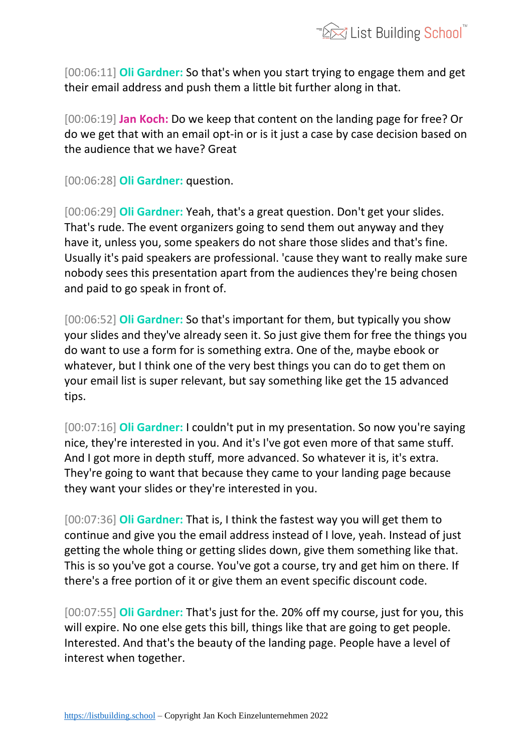

[00:06:11] **Oli Gardner:** So that's when you start trying to engage them and get their email address and push them a little bit further along in that.

[00:06:19] **Jan Koch:** Do we keep that content on the landing page for free? Or do we get that with an email opt-in or is it just a case by case decision based on the audience that we have? Great

[00:06:28] **Oli Gardner:** question.

[00:06:29] **Oli Gardner:** Yeah, that's a great question. Don't get your slides. That's rude. The event organizers going to send them out anyway and they have it, unless you, some speakers do not share those slides and that's fine. Usually it's paid speakers are professional. 'cause they want to really make sure nobody sees this presentation apart from the audiences they're being chosen and paid to go speak in front of.

[00:06:52] **Oli Gardner:** So that's important for them, but typically you show your slides and they've already seen it. So just give them for free the things you do want to use a form for is something extra. One of the, maybe ebook or whatever, but I think one of the very best things you can do to get them on your email list is super relevant, but say something like get the 15 advanced tips.

[00:07:16] **Oli Gardner:** I couldn't put in my presentation. So now you're saying nice, they're interested in you. And it's I've got even more of that same stuff. And I got more in depth stuff, more advanced. So whatever it is, it's extra. They're going to want that because they came to your landing page because they want your slides or they're interested in you.

[00:07:36] **Oli Gardner:** That is, I think the fastest way you will get them to continue and give you the email address instead of I love, yeah. Instead of just getting the whole thing or getting slides down, give them something like that. This is so you've got a course. You've got a course, try and get him on there. If there's a free portion of it or give them an event specific discount code.

[00:07:55] **Oli Gardner:** That's just for the. 20% off my course, just for you, this will expire. No one else gets this bill, things like that are going to get people. Interested. And that's the beauty of the landing page. People have a level of interest when together.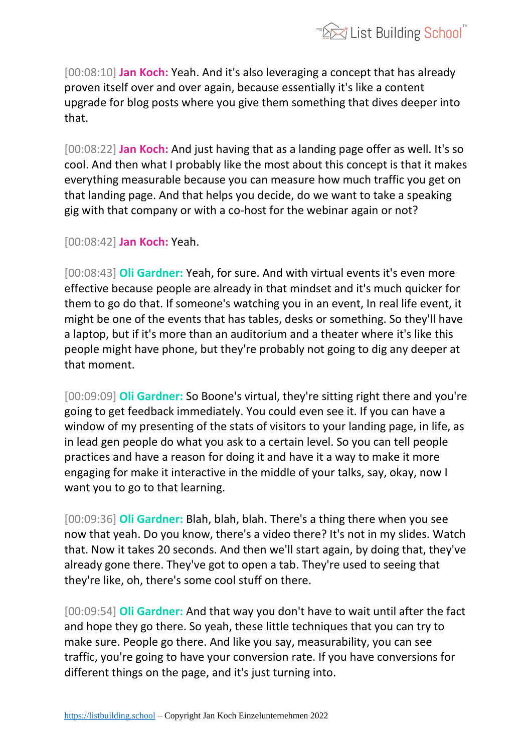[00:08:10] **Jan Koch:** Yeah. And it's also leveraging a concept that has already proven itself over and over again, because essentially it's like a content upgrade for blog posts where you give them something that dives deeper into that.

[00:08:22] **Jan Koch:** And just having that as a landing page offer as well. It's so cool. And then what I probably like the most about this concept is that it makes everything measurable because you can measure how much traffic you get on that landing page. And that helps you decide, do we want to take a speaking gig with that company or with a co-host for the webinar again or not?

[00:08:42] **Jan Koch:** Yeah.

[00:08:43] **Oli Gardner:** Yeah, for sure. And with virtual events it's even more effective because people are already in that mindset and it's much quicker for them to go do that. If someone's watching you in an event, In real life event, it might be one of the events that has tables, desks or something. So they'll have a laptop, but if it's more than an auditorium and a theater where it's like this people might have phone, but they're probably not going to dig any deeper at that moment.

[00:09:09] **Oli Gardner:** So Boone's virtual, they're sitting right there and you're going to get feedback immediately. You could even see it. If you can have a window of my presenting of the stats of visitors to your landing page, in life, as in lead gen people do what you ask to a certain level. So you can tell people practices and have a reason for doing it and have it a way to make it more engaging for make it interactive in the middle of your talks, say, okay, now I want you to go to that learning.

[00:09:36] **Oli Gardner:** Blah, blah, blah. There's a thing there when you see now that yeah. Do you know, there's a video there? It's not in my slides. Watch that. Now it takes 20 seconds. And then we'll start again, by doing that, they've already gone there. They've got to open a tab. They're used to seeing that they're like, oh, there's some cool stuff on there.

[00:09:54] **Oli Gardner:** And that way you don't have to wait until after the fact and hope they go there. So yeah, these little techniques that you can try to make sure. People go there. And like you say, measurability, you can see traffic, you're going to have your conversion rate. If you have conversions for different things on the page, and it's just turning into.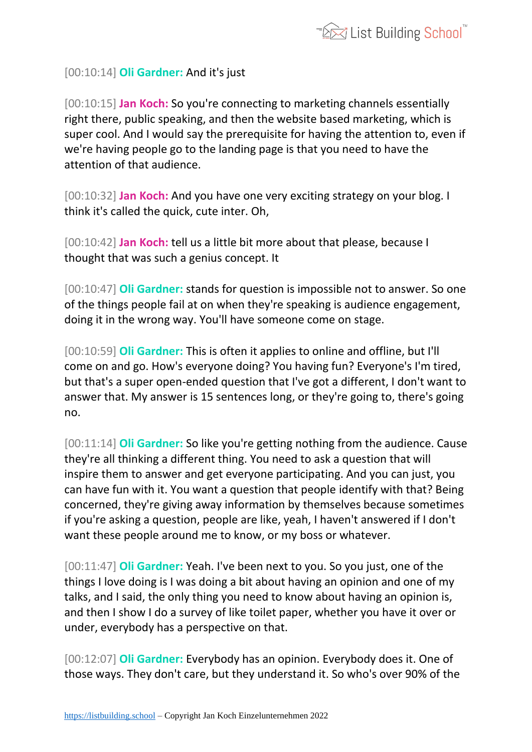

## [00:10:14] **Oli Gardner:** And it's just

[00:10:15] **Jan Koch:** So you're connecting to marketing channels essentially right there, public speaking, and then the website based marketing, which is super cool. And I would say the prerequisite for having the attention to, even if we're having people go to the landing page is that you need to have the attention of that audience.

[00:10:32] **Jan Koch:** And you have one very exciting strategy on your blog. I think it's called the quick, cute inter. Oh,

[00:10:42] **Jan Koch:** tell us a little bit more about that please, because I thought that was such a genius concept. It

[00:10:47] **Oli Gardner:** stands for question is impossible not to answer. So one of the things people fail at on when they're speaking is audience engagement, doing it in the wrong way. You'll have someone come on stage.

[00:10:59] **Oli Gardner:** This is often it applies to online and offline, but I'll come on and go. How's everyone doing? You having fun? Everyone's I'm tired, but that's a super open-ended question that I've got a different, I don't want to answer that. My answer is 15 sentences long, or they're going to, there's going no.

[00:11:14] **Oli Gardner:** So like you're getting nothing from the audience. Cause they're all thinking a different thing. You need to ask a question that will inspire them to answer and get everyone participating. And you can just, you can have fun with it. You want a question that people identify with that? Being concerned, they're giving away information by themselves because sometimes if you're asking a question, people are like, yeah, I haven't answered if I don't want these people around me to know, or my boss or whatever.

[00:11:47] **Oli Gardner:** Yeah. I've been next to you. So you just, one of the things I love doing is I was doing a bit about having an opinion and one of my talks, and I said, the only thing you need to know about having an opinion is, and then I show I do a survey of like toilet paper, whether you have it over or under, everybody has a perspective on that.

[00:12:07] **Oli Gardner:** Everybody has an opinion. Everybody does it. One of those ways. They don't care, but they understand it. So who's over 90% of the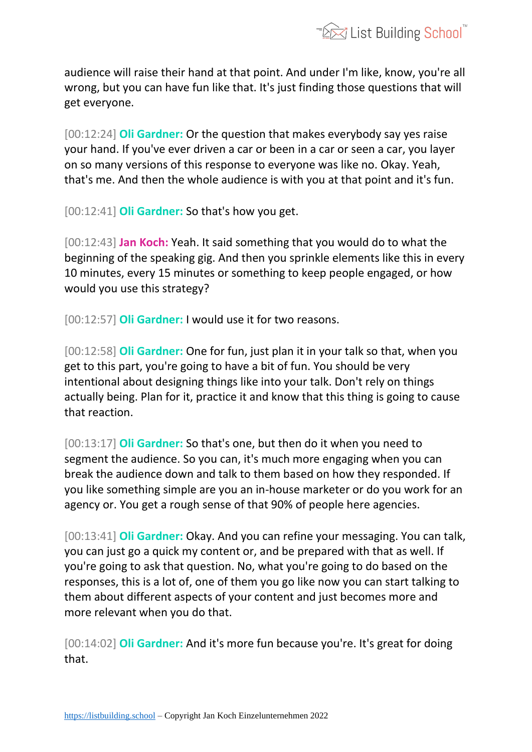

audience will raise their hand at that point. And under I'm like, know, you're all wrong, but you can have fun like that. It's just finding those questions that will get everyone.

[00:12:24] **Oli Gardner:** Or the question that makes everybody say yes raise your hand. If you've ever driven a car or been in a car or seen a car, you layer on so many versions of this response to everyone was like no. Okay. Yeah, that's me. And then the whole audience is with you at that point and it's fun.

[00:12:41] **Oli Gardner:** So that's how you get.

[00:12:43] **Jan Koch:** Yeah. It said something that you would do to what the beginning of the speaking gig. And then you sprinkle elements like this in every 10 minutes, every 15 minutes or something to keep people engaged, or how would you use this strategy?

[00:12:57] **Oli Gardner:** I would use it for two reasons.

[00:12:58] **Oli Gardner:** One for fun, just plan it in your talk so that, when you get to this part, you're going to have a bit of fun. You should be very intentional about designing things like into your talk. Don't rely on things actually being. Plan for it, practice it and know that this thing is going to cause that reaction.

[00:13:17] **Oli Gardner:** So that's one, but then do it when you need to segment the audience. So you can, it's much more engaging when you can break the audience down and talk to them based on how they responded. If you like something simple are you an in-house marketer or do you work for an agency or. You get a rough sense of that 90% of people here agencies.

[00:13:41] **Oli Gardner:** Okay. And you can refine your messaging. You can talk, you can just go a quick my content or, and be prepared with that as well. If you're going to ask that question. No, what you're going to do based on the responses, this is a lot of, one of them you go like now you can start talking to them about different aspects of your content and just becomes more and more relevant when you do that.

[00:14:02] **Oli Gardner:** And it's more fun because you're. It's great for doing that.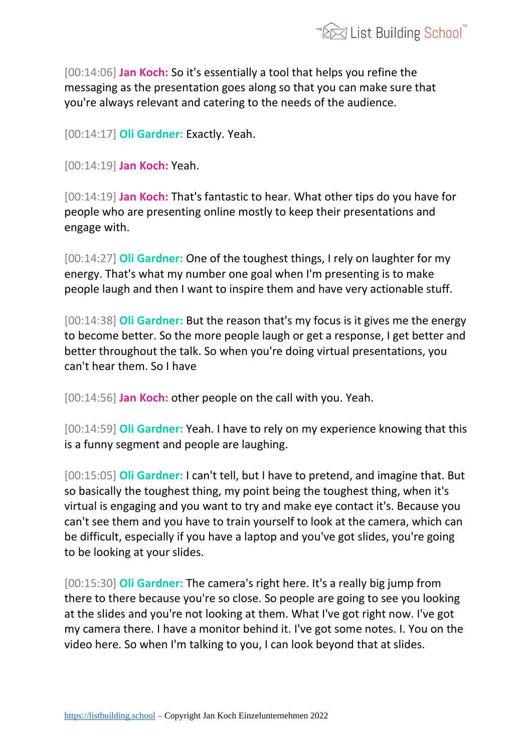

[00:14:06] **Jan Koch:** So it's essentially a tool that helps you refine the messaging as the presentation goes along so that you can make sure that you're always relevant and catering to the needs of the audience.

[00:14:17] **Oli Gardner:** Exactly. Yeah.

[00:14:19] **Jan Koch:** Yeah.

[00:14:19] **Jan Koch:** That's fantastic to hear. What other tips do you have for people who are presenting online mostly to keep their presentations and engage with.

[00:14:27] **Oli Gardner:** One of the toughest things, I rely on laughter for my energy. That's what my number one goal when I'm presenting is to make people laugh and then I want to inspire them and have very actionable stuff.

[00:14:38] **Oli Gardner:** But the reason that's my focus is it gives me the energy to become better. So the more people laugh or get a response, I get better and better throughout the talk. So when you're doing virtual presentations, you can't hear them. So I have

[00:14:56] **Jan Koch:** other people on the call with you. Yeah.

[00:14:59] **Oli Gardner:** Yeah. I have to rely on my experience knowing that this is a funny segment and people are laughing.

[00:15:05] **Oli Gardner:** I can't tell, but I have to pretend, and imagine that. But so basically the toughest thing, my point being the toughest thing, when it's virtual is engaging and you want to try and make eye contact it's. Because you can't see them and you have to train yourself to look at the camera, which can be difficult, especially if you have a laptop and you've got slides, you're going to be looking at your slides.

[00:15:30] **Oli Gardner:** The camera's right here. It's a really big jump from there to there because you're so close. So people are going to see you looking at the slides and you're not looking at them. What I've got right now. I've got my camera there. I have a monitor behind it. I've got some notes. I. You on the video here. So when I'm talking to you, I can look beyond that at slides.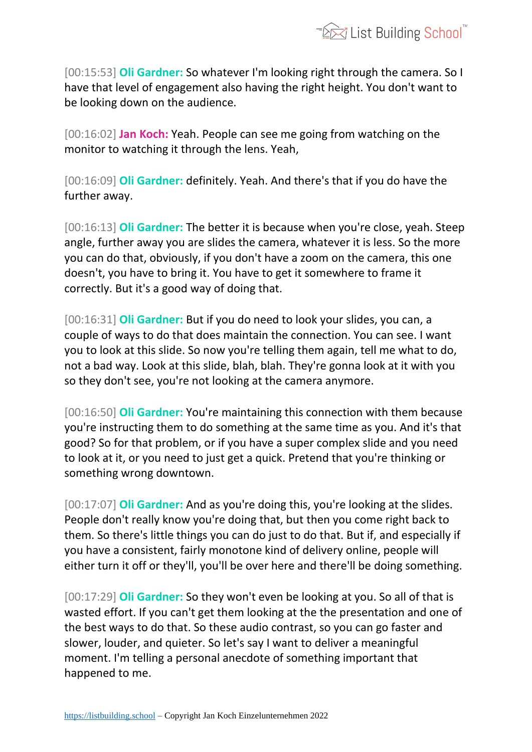

[00:15:53] **Oli Gardner:** So whatever I'm looking right through the camera. So I have that level of engagement also having the right height. You don't want to be looking down on the audience.

[00:16:02] **Jan Koch:** Yeah. People can see me going from watching on the monitor to watching it through the lens. Yeah,

[00:16:09] **Oli Gardner:** definitely. Yeah. And there's that if you do have the further away.

[00:16:13] **Oli Gardner:** The better it is because when you're close, yeah. Steep angle, further away you are slides the camera, whatever it is less. So the more you can do that, obviously, if you don't have a zoom on the camera, this one doesn't, you have to bring it. You have to get it somewhere to frame it correctly. But it's a good way of doing that.

[00:16:31] **Oli Gardner:** But if you do need to look your slides, you can, a couple of ways to do that does maintain the connection. You can see. I want you to look at this slide. So now you're telling them again, tell me what to do, not a bad way. Look at this slide, blah, blah. They're gonna look at it with you so they don't see, you're not looking at the camera anymore.

[00:16:50] **Oli Gardner:** You're maintaining this connection with them because you're instructing them to do something at the same time as you. And it's that good? So for that problem, or if you have a super complex slide and you need to look at it, or you need to just get a quick. Pretend that you're thinking or something wrong downtown.

[00:17:07] **Oli Gardner:** And as you're doing this, you're looking at the slides. People don't really know you're doing that, but then you come right back to them. So there's little things you can do just to do that. But if, and especially if you have a consistent, fairly monotone kind of delivery online, people will either turn it off or they'll, you'll be over here and there'll be doing something.

[00:17:29] **Oli Gardner:** So they won't even be looking at you. So all of that is wasted effort. If you can't get them looking at the the presentation and one of the best ways to do that. So these audio contrast, so you can go faster and slower, louder, and quieter. So let's say I want to deliver a meaningful moment. I'm telling a personal anecdote of something important that happened to me.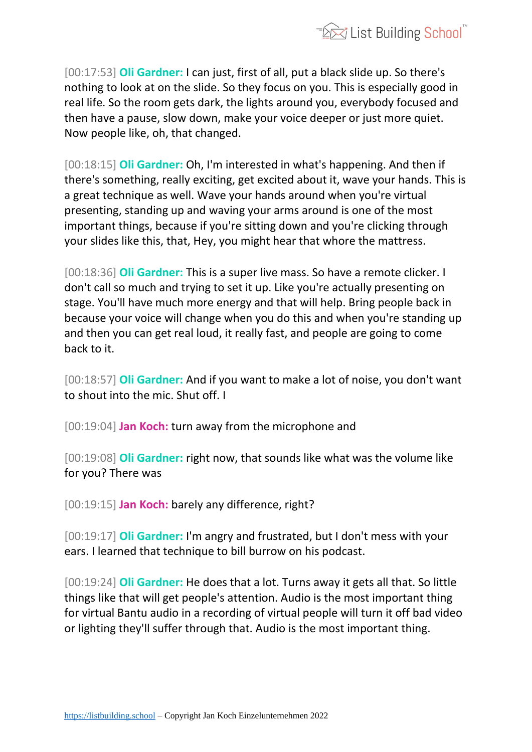

[00:17:53] **Oli Gardner:** I can just, first of all, put a black slide up. So there's nothing to look at on the slide. So they focus on you. This is especially good in real life. So the room gets dark, the lights around you, everybody focused and then have a pause, slow down, make your voice deeper or just more quiet. Now people like, oh, that changed.

[00:18:15] **Oli Gardner:** Oh, I'm interested in what's happening. And then if there's something, really exciting, get excited about it, wave your hands. This is a great technique as well. Wave your hands around when you're virtual presenting, standing up and waving your arms around is one of the most important things, because if you're sitting down and you're clicking through your slides like this, that, Hey, you might hear that whore the mattress.

[00:18:36] **Oli Gardner:** This is a super live mass. So have a remote clicker. I don't call so much and trying to set it up. Like you're actually presenting on stage. You'll have much more energy and that will help. Bring people back in because your voice will change when you do this and when you're standing up and then you can get real loud, it really fast, and people are going to come back to it.

[00:18:57] **Oli Gardner:** And if you want to make a lot of noise, you don't want to shout into the mic. Shut off. I

[00:19:04] **Jan Koch:** turn away from the microphone and

[00:19:08] **Oli Gardner:** right now, that sounds like what was the volume like for you? There was

[00:19:15] **Jan Koch:** barely any difference, right?

[00:19:17] **Oli Gardner:** I'm angry and frustrated, but I don't mess with your ears. I learned that technique to bill burrow on his podcast.

[00:19:24] **Oli Gardner:** He does that a lot. Turns away it gets all that. So little things like that will get people's attention. Audio is the most important thing for virtual Bantu audio in a recording of virtual people will turn it off bad video or lighting they'll suffer through that. Audio is the most important thing.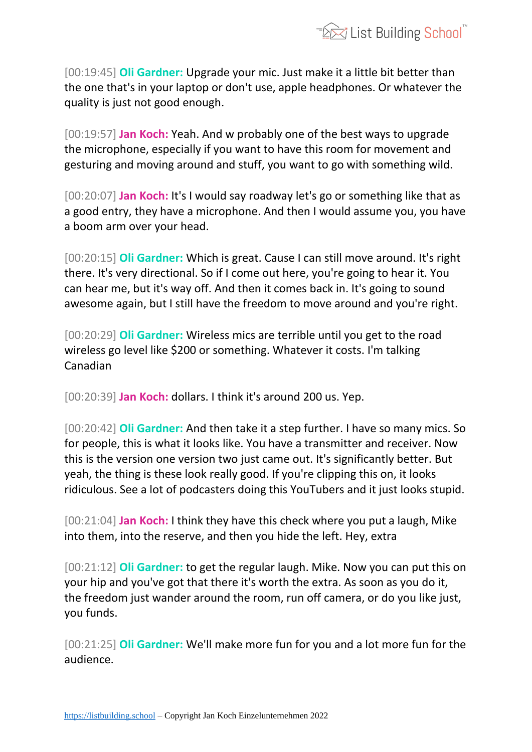

[00:19:45] **Oli Gardner:** Upgrade your mic. Just make it a little bit better than the one that's in your laptop or don't use, apple headphones. Or whatever the quality is just not good enough.

[00:19:57] **Jan Koch:** Yeah. And w probably one of the best ways to upgrade the microphone, especially if you want to have this room for movement and gesturing and moving around and stuff, you want to go with something wild.

[00:20:07] **Jan Koch:** It's I would say roadway let's go or something like that as a good entry, they have a microphone. And then I would assume you, you have a boom arm over your head.

[00:20:15] **Oli Gardner:** Which is great. Cause I can still move around. It's right there. It's very directional. So if I come out here, you're going to hear it. You can hear me, but it's way off. And then it comes back in. It's going to sound awesome again, but I still have the freedom to move around and you're right.

[00:20:29] **Oli Gardner:** Wireless mics are terrible until you get to the road wireless go level like \$200 or something. Whatever it costs. I'm talking Canadian

[00:20:39] **Jan Koch:** dollars. I think it's around 200 us. Yep.

[00:20:42] **Oli Gardner:** And then take it a step further. I have so many mics. So for people, this is what it looks like. You have a transmitter and receiver. Now this is the version one version two just came out. It's significantly better. But yeah, the thing is these look really good. If you're clipping this on, it looks ridiculous. See a lot of podcasters doing this YouTubers and it just looks stupid.

[00:21:04] **Jan Koch:** I think they have this check where you put a laugh, Mike into them, into the reserve, and then you hide the left. Hey, extra

[00:21:12] **Oli Gardner:** to get the regular laugh. Mike. Now you can put this on your hip and you've got that there it's worth the extra. As soon as you do it, the freedom just wander around the room, run off camera, or do you like just, you funds.

[00:21:25] **Oli Gardner:** We'll make more fun for you and a lot more fun for the audience.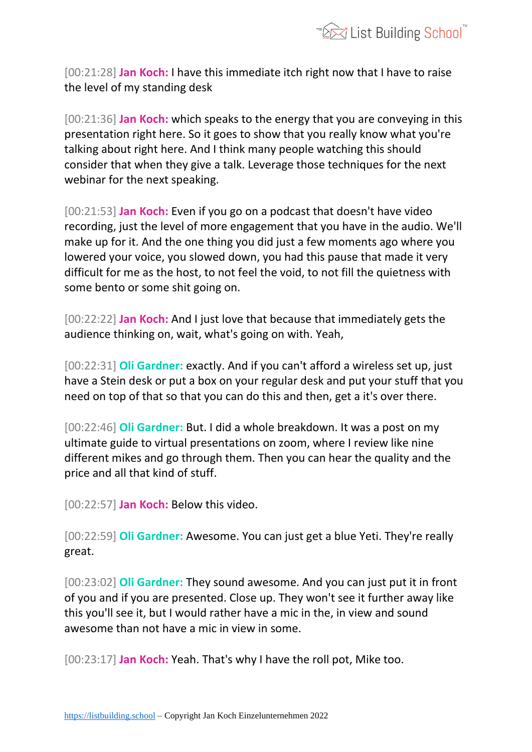

[00:21:28] **Jan Koch:** I have this immediate itch right now that I have to raise the level of my standing desk

[00:21:36] **Jan Koch:** which speaks to the energy that you are conveying in this presentation right here. So it goes to show that you really know what you're talking about right here. And I think many people watching this should consider that when they give a talk. Leverage those techniques for the next webinar for the next speaking.

[00:21:53] **Jan Koch:** Even if you go on a podcast that doesn't have video recording, just the level of more engagement that you have in the audio. We'll make up for it. And the one thing you did just a few moments ago where you lowered your voice, you slowed down, you had this pause that made it very difficult for me as the host, to not feel the void, to not fill the quietness with some bento or some shit going on.

[00:22:22] **Jan Koch:** And I just love that because that immediately gets the audience thinking on, wait, what's going on with. Yeah,

[00:22:31] **Oli Gardner:** exactly. And if you can't afford a wireless set up, just have a Stein desk or put a box on your regular desk and put your stuff that you need on top of that so that you can do this and then, get a it's over there.

[00:22:46] **Oli Gardner:** But. I did a whole breakdown. It was a post on my ultimate guide to virtual presentations on zoom, where I review like nine different mikes and go through them. Then you can hear the quality and the price and all that kind of stuff.

[00:22:57] **Jan Koch:** Below this video.

[00:22:59] **Oli Gardner:** Awesome. You can just get a blue Yeti. They're really great.

[00:23:02] **Oli Gardner:** They sound awesome. And you can just put it in front of you and if you are presented. Close up. They won't see it further away like this you'll see it, but I would rather have a mic in the, in view and sound awesome than not have a mic in view in some.

[00:23:17] **Jan Koch:** Yeah. That's why I have the roll pot, Mike too.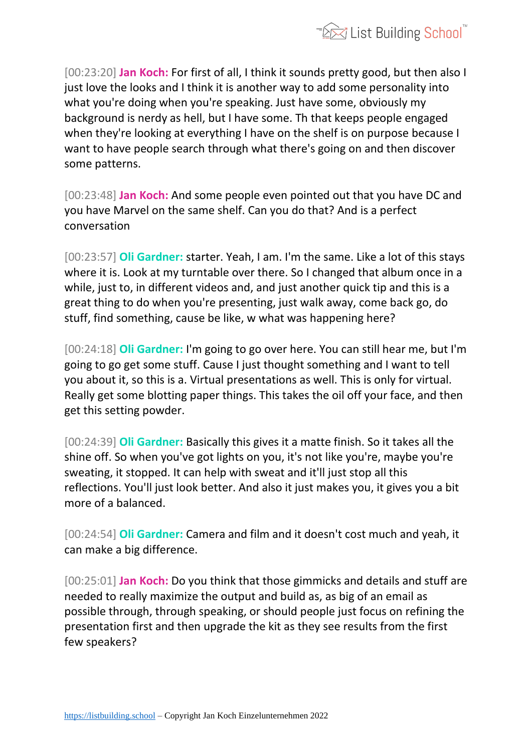

[00:23:20] **Jan Koch:** For first of all, I think it sounds pretty good, but then also I just love the looks and I think it is another way to add some personality into what you're doing when you're speaking. Just have some, obviously my background is nerdy as hell, but I have some. Th that keeps people engaged when they're looking at everything I have on the shelf is on purpose because I want to have people search through what there's going on and then discover some patterns.

[00:23:48] **Jan Koch:** And some people even pointed out that you have DC and you have Marvel on the same shelf. Can you do that? And is a perfect conversation

[00:23:57] **Oli Gardner:** starter. Yeah, I am. I'm the same. Like a lot of this stays where it is. Look at my turntable over there. So I changed that album once in a while, just to, in different videos and, and just another quick tip and this is a great thing to do when you're presenting, just walk away, come back go, do stuff, find something, cause be like, w what was happening here?

[00:24:18] **Oli Gardner:** I'm going to go over here. You can still hear me, but I'm going to go get some stuff. Cause I just thought something and I want to tell you about it, so this is a. Virtual presentations as well. This is only for virtual. Really get some blotting paper things. This takes the oil off your face, and then get this setting powder.

[00:24:39] **Oli Gardner:** Basically this gives it a matte finish. So it takes all the shine off. So when you've got lights on you, it's not like you're, maybe you're sweating, it stopped. It can help with sweat and it'll just stop all this reflections. You'll just look better. And also it just makes you, it gives you a bit more of a balanced.

[00:24:54] **Oli Gardner:** Camera and film and it doesn't cost much and yeah, it can make a big difference.

[00:25:01] **Jan Koch:** Do you think that those gimmicks and details and stuff are needed to really maximize the output and build as, as big of an email as possible through, through speaking, or should people just focus on refining the presentation first and then upgrade the kit as they see results from the first few speakers?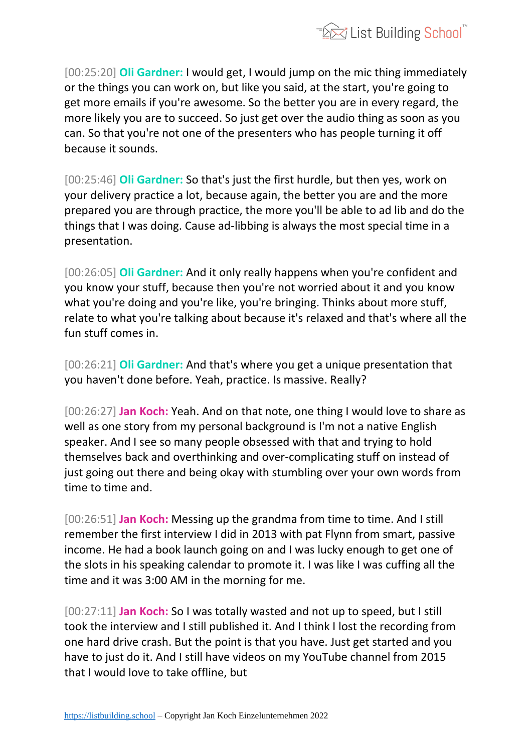

[00:25:20] **Oli Gardner:** I would get, I would jump on the mic thing immediately or the things you can work on, but like you said, at the start, you're going to get more emails if you're awesome. So the better you are in every regard, the more likely you are to succeed. So just get over the audio thing as soon as you can. So that you're not one of the presenters who has people turning it off because it sounds.

[00:25:46] **Oli Gardner:** So that's just the first hurdle, but then yes, work on your delivery practice a lot, because again, the better you are and the more prepared you are through practice, the more you'll be able to ad lib and do the things that I was doing. Cause ad-libbing is always the most special time in a presentation.

[00:26:05] **Oli Gardner:** And it only really happens when you're confident and you know your stuff, because then you're not worried about it and you know what you're doing and you're like, you're bringing. Thinks about more stuff, relate to what you're talking about because it's relaxed and that's where all the fun stuff comes in.

[00:26:21] **Oli Gardner:** And that's where you get a unique presentation that you haven't done before. Yeah, practice. Is massive. Really?

[00:26:27] **Jan Koch:** Yeah. And on that note, one thing I would love to share as well as one story from my personal background is I'm not a native English speaker. And I see so many people obsessed with that and trying to hold themselves back and overthinking and over-complicating stuff on instead of just going out there and being okay with stumbling over your own words from time to time and.

[00:26:51] **Jan Koch:** Messing up the grandma from time to time. And I still remember the first interview I did in 2013 with pat Flynn from smart, passive income. He had a book launch going on and I was lucky enough to get one of the slots in his speaking calendar to promote it. I was like I was cuffing all the time and it was 3:00 AM in the morning for me.

[00:27:11] **Jan Koch:** So I was totally wasted and not up to speed, but I still took the interview and I still published it. And I think I lost the recording from one hard drive crash. But the point is that you have. Just get started and you have to just do it. And I still have videos on my YouTube channel from 2015 that I would love to take offline, but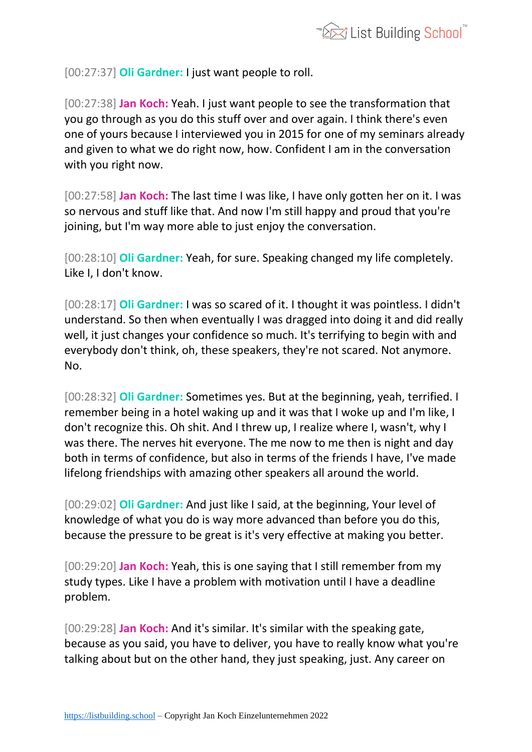[00:27:37] **Oli Gardner:** I just want people to roll.

[00:27:38] **Jan Koch:** Yeah. I just want people to see the transformation that you go through as you do this stuff over and over again. I think there's even one of yours because I interviewed you in 2015 for one of my seminars already and given to what we do right now, how. Confident I am in the conversation with you right now.

[00:27:58] **Jan Koch:** The last time I was like, I have only gotten her on it. I was so nervous and stuff like that. And now I'm still happy and proud that you're joining, but I'm way more able to just enjoy the conversation.

[00:28:10] **Oli Gardner:** Yeah, for sure. Speaking changed my life completely. Like I, I don't know.

[00:28:17] **Oli Gardner:** I was so scared of it. I thought it was pointless. I didn't understand. So then when eventually I was dragged into doing it and did really well, it just changes your confidence so much. It's terrifying to begin with and everybody don't think, oh, these speakers, they're not scared. Not anymore. No.

[00:28:32] **Oli Gardner:** Sometimes yes. But at the beginning, yeah, terrified. I remember being in a hotel waking up and it was that I woke up and I'm like, I don't recognize this. Oh shit. And I threw up, I realize where I, wasn't, why I was there. The nerves hit everyone. The me now to me then is night and day both in terms of confidence, but also in terms of the friends I have, I've made lifelong friendships with amazing other speakers all around the world.

[00:29:02] **Oli Gardner:** And just like I said, at the beginning, Your level of knowledge of what you do is way more advanced than before you do this, because the pressure to be great is it's very effective at making you better.

[00:29:20] **Jan Koch:** Yeah, this is one saying that I still remember from my study types. Like I have a problem with motivation until I have a deadline problem.

[00:29:28] **Jan Koch:** And it's similar. It's similar with the speaking gate, because as you said, you have to deliver, you have to really know what you're talking about but on the other hand, they just speaking, just. Any career on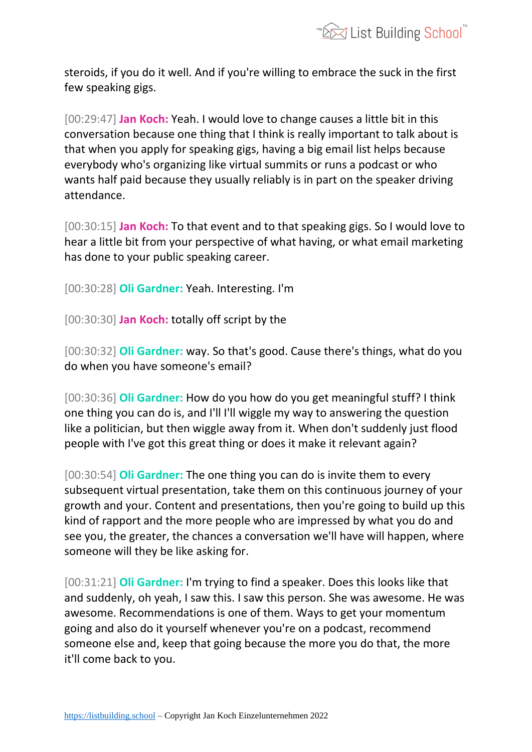

steroids, if you do it well. And if you're willing to embrace the suck in the first few speaking gigs.

[00:29:47] **Jan Koch:** Yeah. I would love to change causes a little bit in this conversation because one thing that I think is really important to talk about is that when you apply for speaking gigs, having a big email list helps because everybody who's organizing like virtual summits or runs a podcast or who wants half paid because they usually reliably is in part on the speaker driving attendance.

[00:30:15] **Jan Koch:** To that event and to that speaking gigs. So I would love to hear a little bit from your perspective of what having, or what email marketing has done to your public speaking career.

[00:30:28] **Oli Gardner:** Yeah. Interesting. I'm

[00:30:30] **Jan Koch:** totally off script by the

[00:30:32] **Oli Gardner:** way. So that's good. Cause there's things, what do you do when you have someone's email?

[00:30:36] **Oli Gardner:** How do you how do you get meaningful stuff? I think one thing you can do is, and I'll I'll wiggle my way to answering the question like a politician, but then wiggle away from it. When don't suddenly just flood people with I've got this great thing or does it make it relevant again?

[00:30:54] **Oli Gardner:** The one thing you can do is invite them to every subsequent virtual presentation, take them on this continuous journey of your growth and your. Content and presentations, then you're going to build up this kind of rapport and the more people who are impressed by what you do and see you, the greater, the chances a conversation we'll have will happen, where someone will they be like asking for.

[00:31:21] **Oli Gardner:** I'm trying to find a speaker. Does this looks like that and suddenly, oh yeah, I saw this. I saw this person. She was awesome. He was awesome. Recommendations is one of them. Ways to get your momentum going and also do it yourself whenever you're on a podcast, recommend someone else and, keep that going because the more you do that, the more it'll come back to you.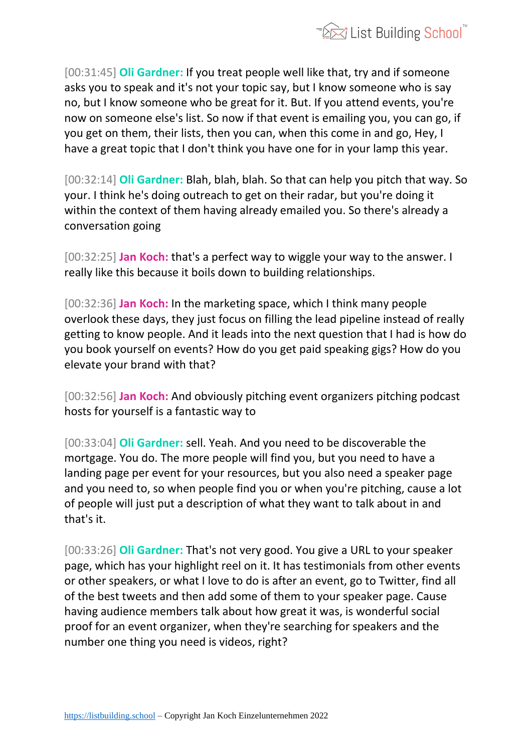

[00:31:45] **Oli Gardner:** If you treat people well like that, try and if someone asks you to speak and it's not your topic say, but I know someone who is say no, but I know someone who be great for it. But. If you attend events, you're now on someone else's list. So now if that event is emailing you, you can go, if you get on them, their lists, then you can, when this come in and go, Hey, I have a great topic that I don't think you have one for in your lamp this year.

[00:32:14] **Oli Gardner:** Blah, blah, blah. So that can help you pitch that way. So your. I think he's doing outreach to get on their radar, but you're doing it within the context of them having already emailed you. So there's already a conversation going

[00:32:25] **Jan Koch:** that's a perfect way to wiggle your way to the answer. I really like this because it boils down to building relationships.

[00:32:36] **Jan Koch:** In the marketing space, which I think many people overlook these days, they just focus on filling the lead pipeline instead of really getting to know people. And it leads into the next question that I had is how do you book yourself on events? How do you get paid speaking gigs? How do you elevate your brand with that?

[00:32:56] **Jan Koch:** And obviously pitching event organizers pitching podcast hosts for yourself is a fantastic way to

[00:33:04] **Oli Gardner:** sell. Yeah. And you need to be discoverable the mortgage. You do. The more people will find you, but you need to have a landing page per event for your resources, but you also need a speaker page and you need to, so when people find you or when you're pitching, cause a lot of people will just put a description of what they want to talk about in and that's it.

[00:33:26] **Oli Gardner:** That's not very good. You give a URL to your speaker page, which has your highlight reel on it. It has testimonials from other events or other speakers, or what I love to do is after an event, go to Twitter, find all of the best tweets and then add some of them to your speaker page. Cause having audience members talk about how great it was, is wonderful social proof for an event organizer, when they're searching for speakers and the number one thing you need is videos, right?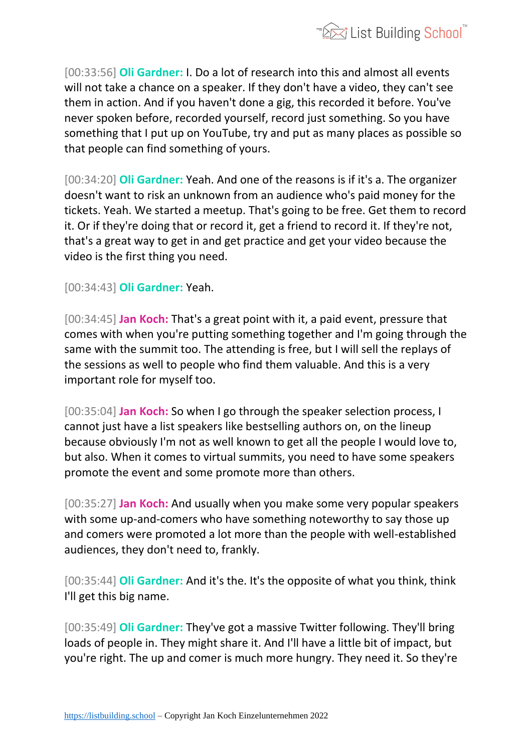

[00:33:56] **Oli Gardner:** I. Do a lot of research into this and almost all events will not take a chance on a speaker. If they don't have a video, they can't see them in action. And if you haven't done a gig, this recorded it before. You've never spoken before, recorded yourself, record just something. So you have something that I put up on YouTube, try and put as many places as possible so that people can find something of yours.

[00:34:20] **Oli Gardner:** Yeah. And one of the reasons is if it's a. The organizer doesn't want to risk an unknown from an audience who's paid money for the tickets. Yeah. We started a meetup. That's going to be free. Get them to record it. Or if they're doing that or record it, get a friend to record it. If they're not, that's a great way to get in and get practice and get your video because the video is the first thing you need.

[00:34:43] **Oli Gardner:** Yeah.

[00:34:45] **Jan Koch:** That's a great point with it, a paid event, pressure that comes with when you're putting something together and I'm going through the same with the summit too. The attending is free, but I will sell the replays of the sessions as well to people who find them valuable. And this is a very important role for myself too.

[00:35:04] **Jan Koch:** So when I go through the speaker selection process, I cannot just have a list speakers like bestselling authors on, on the lineup because obviously I'm not as well known to get all the people I would love to, but also. When it comes to virtual summits, you need to have some speakers promote the event and some promote more than others.

[00:35:27] **Jan Koch:** And usually when you make some very popular speakers with some up-and-comers who have something noteworthy to say those up and comers were promoted a lot more than the people with well-established audiences, they don't need to, frankly.

[00:35:44] **Oli Gardner:** And it's the. It's the opposite of what you think, think I'll get this big name.

[00:35:49] **Oli Gardner:** They've got a massive Twitter following. They'll bring loads of people in. They might share it. And I'll have a little bit of impact, but you're right. The up and comer is much more hungry. They need it. So they're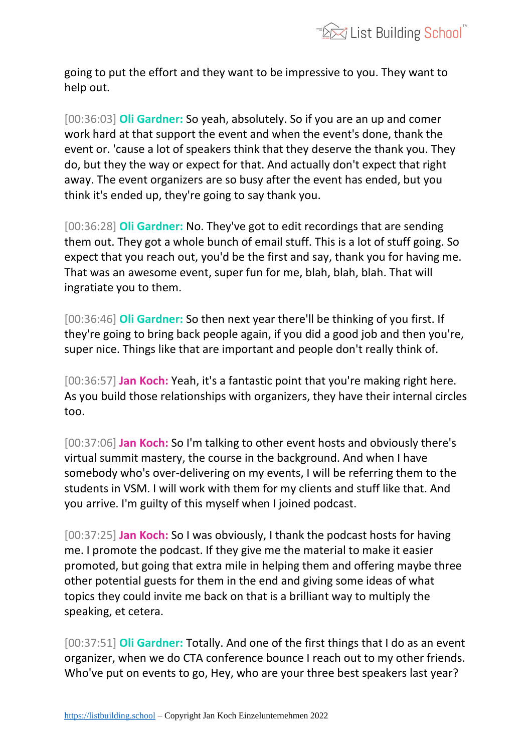

going to put the effort and they want to be impressive to you. They want to help out.

[00:36:03] **Oli Gardner:** So yeah, absolutely. So if you are an up and comer work hard at that support the event and when the event's done, thank the event or. 'cause a lot of speakers think that they deserve the thank you. They do, but they the way or expect for that. And actually don't expect that right away. The event organizers are so busy after the event has ended, but you think it's ended up, they're going to say thank you.

[00:36:28] **Oli Gardner:** No. They've got to edit recordings that are sending them out. They got a whole bunch of email stuff. This is a lot of stuff going. So expect that you reach out, you'd be the first and say, thank you for having me. That was an awesome event, super fun for me, blah, blah, blah. That will ingratiate you to them.

[00:36:46] **Oli Gardner:** So then next year there'll be thinking of you first. If they're going to bring back people again, if you did a good job and then you're, super nice. Things like that are important and people don't really think of.

[00:36:57] **Jan Koch:** Yeah, it's a fantastic point that you're making right here. As you build those relationships with organizers, they have their internal circles too.

[00:37:06] **Jan Koch:** So I'm talking to other event hosts and obviously there's virtual summit mastery, the course in the background. And when I have somebody who's over-delivering on my events, I will be referring them to the students in VSM. I will work with them for my clients and stuff like that. And you arrive. I'm guilty of this myself when I joined podcast.

[00:37:25] **Jan Koch:** So I was obviously, I thank the podcast hosts for having me. I promote the podcast. If they give me the material to make it easier promoted, but going that extra mile in helping them and offering maybe three other potential guests for them in the end and giving some ideas of what topics they could invite me back on that is a brilliant way to multiply the speaking, et cetera.

[00:37:51] **Oli Gardner:** Totally. And one of the first things that I do as an event organizer, when we do CTA conference bounce I reach out to my other friends. Who've put on events to go, Hey, who are your three best speakers last year?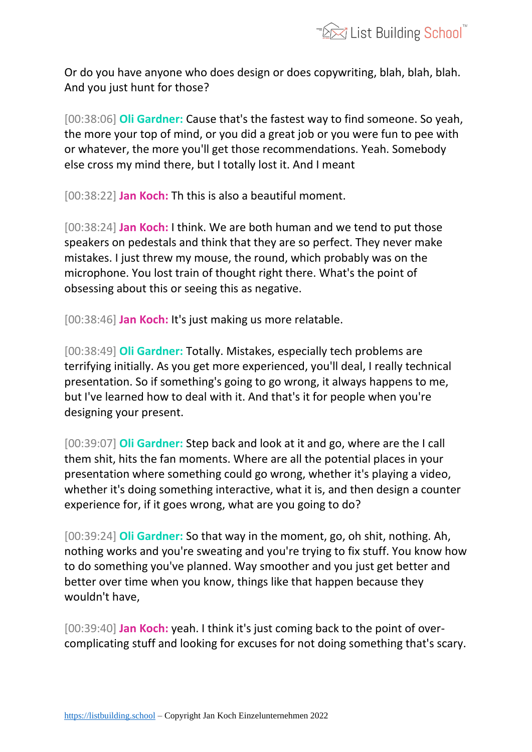

Or do you have anyone who does design or does copywriting, blah, blah, blah. And you just hunt for those?

[00:38:06] **Oli Gardner:** Cause that's the fastest way to find someone. So yeah, the more your top of mind, or you did a great job or you were fun to pee with or whatever, the more you'll get those recommendations. Yeah. Somebody else cross my mind there, but I totally lost it. And I meant

[00:38:22] **Jan Koch:** Th this is also a beautiful moment.

[00:38:24] **Jan Koch:** I think. We are both human and we tend to put those speakers on pedestals and think that they are so perfect. They never make mistakes. I just threw my mouse, the round, which probably was on the microphone. You lost train of thought right there. What's the point of obsessing about this or seeing this as negative.

[00:38:46] **Jan Koch:** It's just making us more relatable.

[00:38:49] **Oli Gardner:** Totally. Mistakes, especially tech problems are terrifying initially. As you get more experienced, you'll deal, I really technical presentation. So if something's going to go wrong, it always happens to me, but I've learned how to deal with it. And that's it for people when you're designing your present.

[00:39:07] **Oli Gardner:** Step back and look at it and go, where are the I call them shit, hits the fan moments. Where are all the potential places in your presentation where something could go wrong, whether it's playing a video, whether it's doing something interactive, what it is, and then design a counter experience for, if it goes wrong, what are you going to do?

[00:39:24] **Oli Gardner:** So that way in the moment, go, oh shit, nothing. Ah, nothing works and you're sweating and you're trying to fix stuff. You know how to do something you've planned. Way smoother and you just get better and better over time when you know, things like that happen because they wouldn't have,

[00:39:40] **Jan Koch:** yeah. I think it's just coming back to the point of overcomplicating stuff and looking for excuses for not doing something that's scary.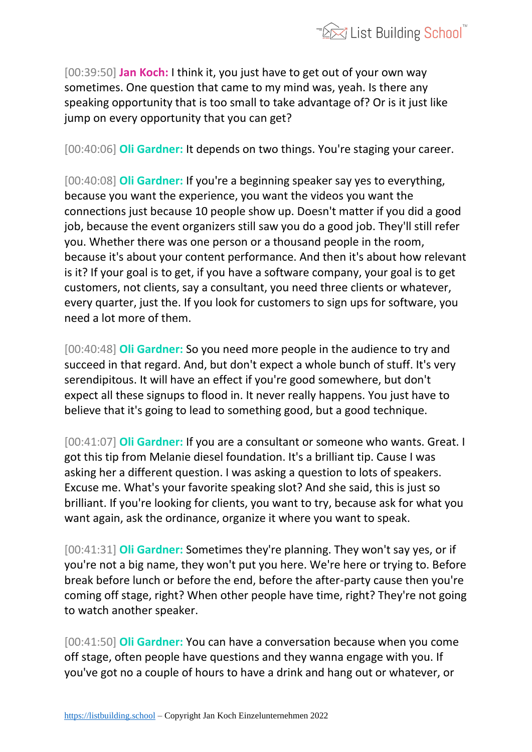

[00:39:50] **Jan Koch:** I think it, you just have to get out of your own way sometimes. One question that came to my mind was, yeah. Is there any speaking opportunity that is too small to take advantage of? Or is it just like jump on every opportunity that you can get?

[00:40:06] **Oli Gardner:** It depends on two things. You're staging your career.

[00:40:08] **Oli Gardner:** If you're a beginning speaker say yes to everything, because you want the experience, you want the videos you want the connections just because 10 people show up. Doesn't matter if you did a good job, because the event organizers still saw you do a good job. They'll still refer you. Whether there was one person or a thousand people in the room, because it's about your content performance. And then it's about how relevant is it? If your goal is to get, if you have a software company, your goal is to get customers, not clients, say a consultant, you need three clients or whatever, every quarter, just the. If you look for customers to sign ups for software, you need a lot more of them.

[00:40:48] **Oli Gardner:** So you need more people in the audience to try and succeed in that regard. And, but don't expect a whole bunch of stuff. It's very serendipitous. It will have an effect if you're good somewhere, but don't expect all these signups to flood in. It never really happens. You just have to believe that it's going to lead to something good, but a good technique.

[00:41:07] **Oli Gardner:** If you are a consultant or someone who wants. Great. I got this tip from Melanie diesel foundation. It's a brilliant tip. Cause I was asking her a different question. I was asking a question to lots of speakers. Excuse me. What's your favorite speaking slot? And she said, this is just so brilliant. If you're looking for clients, you want to try, because ask for what you want again, ask the ordinance, organize it where you want to speak.

[00:41:31] **Oli Gardner:** Sometimes they're planning. They won't say yes, or if you're not a big name, they won't put you here. We're here or trying to. Before break before lunch or before the end, before the after-party cause then you're coming off stage, right? When other people have time, right? They're not going to watch another speaker.

[00:41:50] **Oli Gardner:** You can have a conversation because when you come off stage, often people have questions and they wanna engage with you. If you've got no a couple of hours to have a drink and hang out or whatever, or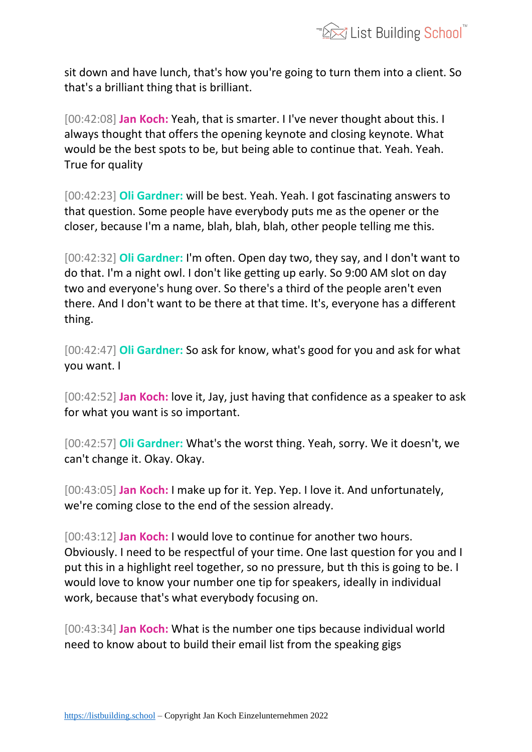

sit down and have lunch, that's how you're going to turn them into a client. So that's a brilliant thing that is brilliant.

[00:42:08] **Jan Koch:** Yeah, that is smarter. I I've never thought about this. I always thought that offers the opening keynote and closing keynote. What would be the best spots to be, but being able to continue that. Yeah. Yeah. True for quality

[00:42:23] **Oli Gardner:** will be best. Yeah. Yeah. I got fascinating answers to that question. Some people have everybody puts me as the opener or the closer, because I'm a name, blah, blah, blah, other people telling me this.

[00:42:32] **Oli Gardner:** I'm often. Open day two, they say, and I don't want to do that. I'm a night owl. I don't like getting up early. So 9:00 AM slot on day two and everyone's hung over. So there's a third of the people aren't even there. And I don't want to be there at that time. It's, everyone has a different thing.

[00:42:47] **Oli Gardner:** So ask for know, what's good for you and ask for what you want. I

[00:42:52] **Jan Koch:** love it, Jay, just having that confidence as a speaker to ask for what you want is so important.

[00:42:57] **Oli Gardner:** What's the worst thing. Yeah, sorry. We it doesn't, we can't change it. Okay. Okay.

[00:43:05] **Jan Koch:** I make up for it. Yep. Yep. I love it. And unfortunately, we're coming close to the end of the session already.

[00:43:12] **Jan Koch:** I would love to continue for another two hours. Obviously. I need to be respectful of your time. One last question for you and I put this in a highlight reel together, so no pressure, but th this is going to be. I would love to know your number one tip for speakers, ideally in individual work, because that's what everybody focusing on.

[00:43:34] **Jan Koch:** What is the number one tips because individual world need to know about to build their email list from the speaking gigs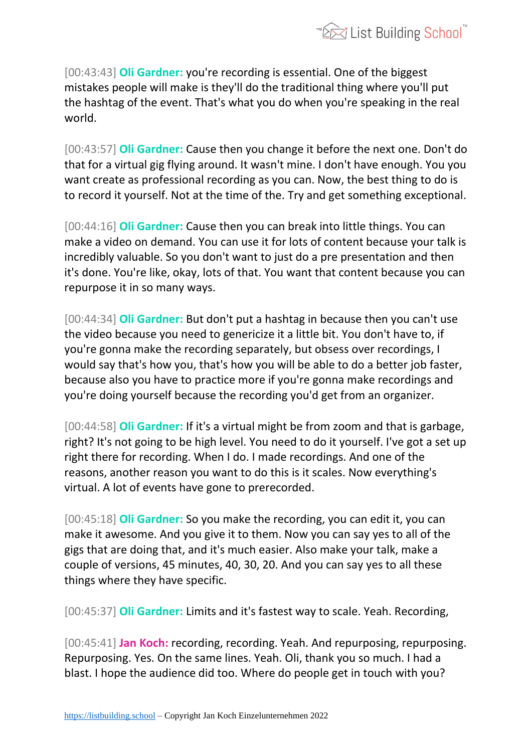

[00:43:43] **Oli Gardner:** you're recording is essential. One of the biggest mistakes people will make is they'll do the traditional thing where you'll put the hashtag of the event. That's what you do when you're speaking in the real world.

[00:43:57] **Oli Gardner:** Cause then you change it before the next one. Don't do that for a virtual gig flying around. It wasn't mine. I don't have enough. You you want create as professional recording as you can. Now, the best thing to do is to record it yourself. Not at the time of the. Try and get something exceptional.

[00:44:16] **Oli Gardner:** Cause then you can break into little things. You can make a video on demand. You can use it for lots of content because your talk is incredibly valuable. So you don't want to just do a pre presentation and then it's done. You're like, okay, lots of that. You want that content because you can repurpose it in so many ways.

[00:44:34] **Oli Gardner:** But don't put a hashtag in because then you can't use the video because you need to genericize it a little bit. You don't have to, if you're gonna make the recording separately, but obsess over recordings, I would say that's how you, that's how you will be able to do a better job faster, because also you have to practice more if you're gonna make recordings and you're doing yourself because the recording you'd get from an organizer.

[00:44:58] **Oli Gardner:** If it's a virtual might be from zoom and that is garbage, right? It's not going to be high level. You need to do it yourself. I've got a set up right there for recording. When I do. I made recordings. And one of the reasons, another reason you want to do this is it scales. Now everything's virtual. A lot of events have gone to prerecorded.

[00:45:18] **Oli Gardner:** So you make the recording, you can edit it, you can make it awesome. And you give it to them. Now you can say yes to all of the gigs that are doing that, and it's much easier. Also make your talk, make a couple of versions, 45 minutes, 40, 30, 20. And you can say yes to all these things where they have specific.

[00:45:37] **Oli Gardner:** Limits and it's fastest way to scale. Yeah. Recording,

[00:45:41] **Jan Koch:** recording, recording. Yeah. And repurposing, repurposing. Repurposing. Yes. On the same lines. Yeah. Oli, thank you so much. I had a blast. I hope the audience did too. Where do people get in touch with you?